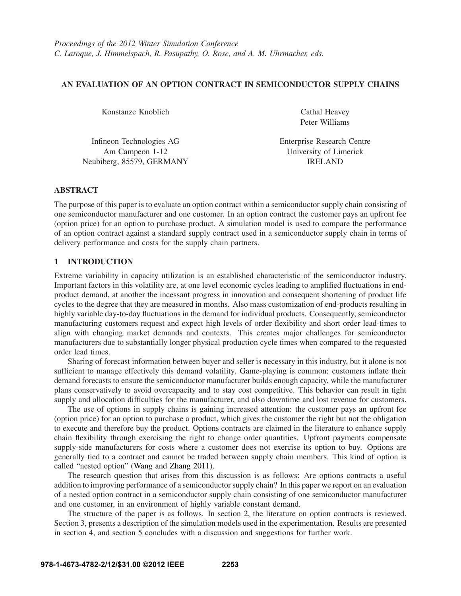## **AN EVALUATION OF AN OPTION CONTRACT IN SEMICONDUCTOR SUPPLY CHAINS**

Konstanze Knoblich

Infineon Technologies AG Am Campeon 1-12 Neubiberg, 85579, GERMANY Cathal Heavey Peter Williams

Enterprise Research Centre University of Limerick IRELAND

# **ABSTRACT**

The purpose of this paper is to evaluate an option contract within a semiconductor supply chain consisting of one semiconductor manufacturer and one customer. In an option contract the customer pays an upfront fee (option price) for an option to purchase product. A simulation model is used to compare the performance of an option contract against a standard supply contract used in a semiconductor supply chain in terms of delivery performance and costs for the supply chain partners.

# **1 INTRODUCTION**

Extreme variability in capacity utilization is an established characteristic of the semiconductor industry. Important factors in this volatility are, at one level economic cycles leading to amplified fluctuations in endproduct demand, at another the incessant progress in innovation and consequent shortening of product life cycles to the degree that they are measured in months. Also mass customization of end-products resulting in highly variable day-to-day fluctuations in the demand for individual products. Consequently, semiconductor manufacturing customers request and expect high levels of order flexibility and short order lead-times to align with changing market demands and contexts. This creates major challenges for semiconductor manufacturers due to substantially longer physical production cycle times when compared to the requested order lead times.

Sharing of forecast information between buyer and seller is necessary in this industry, but it alone is not sufficient to manage effectively this demand volatility. Game-playing is common: customers inflate their demand forecasts to ensure the semiconductor manufacturer builds enough capacity, while the manufacturer plans conservatively to avoid overcapacity and to stay cost competitive. This behavior can result in tight supply and allocation difficulties for the manufacturer, and also downtime and lost revenue for customers.

The use of options in supply chains is gaining increased attention: the customer pays an upfront fee (option price) for an option to purchase a product, which gives the customer the right but not the obligation to execute and therefore buy the product. Options contracts are claimed in the literature to enhance supply chain flexibility through exercising the right to change order quantities. Upfront payments compensate supply-side manufacturers for costs where a customer does not exercise its option to buy. Options are generally tied to a contract and cannot be traded between supply chain members. This kind of option is called "nested option" (Wang and Zhang 2011).

The research question that arises from this discussion is as follows: Are options contracts a useful addition to improving performance of a semiconductor supply chain? In this paper we report on an evaluation of a nested option contract in a semiconductor supply chain consisting of one semiconductor manufacturer and one customer, in an environment of highly variable constant demand.

The structure of the paper is as follows. In section 2, the literature on option contracts is reviewed. Section 3, presents a description of the simulation models used in the experimentation. Results are presented in section 4, and section 5 concludes with a discussion and suggestions for further work.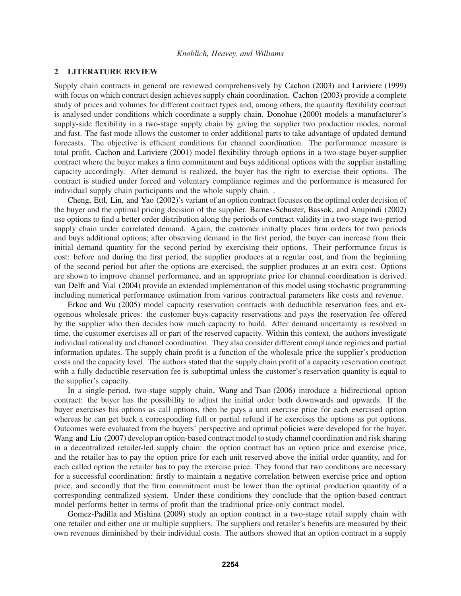### **2 LITERATURE REVIEW**

Supply chain contracts in general are reviewed comprehensively by Cachon (2003) and Lariviere (1999) with focus on which contract design achieves supply chain coordination. Cachon (2003) provide a complete study of prices and volumes for different contract types and, among others, the quantity flexibility contract is analysed under conditions which coordinate a supply chain. Donohue (2000) models a manufacturer's supply-side flexibility in a two-stage supply chain by giving the supplier two production modes, normal and fast. The fast mode allows the customer to order additional parts to take advantage of updated demand forecasts. The objective is efficient conditions for channel coordination. The performance measure is total profit. Cachon and Lariviere (2001) model flexibility through options in a two-stage buyer-supplier contract where the buyer makes a firm commitment and buys additional options with the supplier installing capacity accordingly. After demand is realized, the buyer has the right to exercise their options. The contract is studied under forced and voluntary compliance regimes and the performance is measured for individual supply chain participants and the whole supply chain. .

Cheng, Ettl, Lin, and Yao (2002)'s variant of an option contract focuses on the optimal order decision of the buyer and the optimal pricing decision of the supplier. Barnes-Schuster, Bassok, and Anupindi (2002) use options to find a better order distribution along the periods of contract validity in a two-stage two-period supply chain under correlated demand. Again, the customer initially places firm orders for two periods and buys additional options; after observing demand in the first period, the buyer can increase from their initial demand quantity for the second period by exercising their options. Their performance focus is cost: before and during the first period, the supplier produces at a regular cost, and from the beginning of the second period but after the options are exercised, the supplier produces at an extra cost. Options are shown to improve channel performance, and an appropriate price for channel coordination is derived. van Delft and Vial (2004) provide an extended implementation of this model using stochastic programming including numerical performance estimation from various contractual parameters like costs and revenue.

Erkoc and Wu (2005) model capacity reservation contracts with deductible reservation fees and exogenous wholesale prices: the customer buys capacity reservations and pays the reservation fee offered by the supplier who then decides how much capacity to build. After demand uncertainty is resolved in time, the customer exercises all or part of the reserved capacity. Within this context, the authors investigate individual rationality and channel coordination. They also consider different compliance regimes and partial information updates. The supply chain profit is a function of the wholesale price the supplier's production costs and the capacity level. The authors stated that the supply chain profit of a capacity reservation contract with a fully deductible reservation fee is suboptimal unless the customer's reservation quantity is equal to the supplier's capacity.

In a single-period, two-stage supply chain, Wang and Tsao (2006) introduce a bidirectional option contract: the buyer has the possibility to adjust the initial order both downwards and upwards. If the buyer exercises his options as call options, then he pays a unit exercise price for each exercised option whereas he can get back a corresponding full or partial refund if he exercises the options as put options. Outcomes were evaluated from the buyers' perspective and optimal policies were developed for the buyer. Wang and Liu (2007) develop an option-based contract model to study channel coordination and risk sharing in a decentralized retailer-led supply chain: the option contract has an option price and exercise price, and the retailer has to pay the option price for each unit reserved above the initial order quantity, and for each called option the retailer has to pay the exercise price. They found that two conditions are necessary for a successful coordination: firstly to maintain a negative correlation between exercise price and option price, and secondly that the firm commitment must be lower than the optimal production quantity of a corresponding centralized system. Under these conditions they conclude that the option-based contract model performs better in terms of profit than the traditional price-only contract model.

Gomez-Padilla and Mishina (2009) study an option contract in a two-stage retail supply chain with one retailer and either one or multiple suppliers. The suppliers and retailer's benefits are measured by their own revenues diminished by their individual costs. The authors showed that an option contract in a supply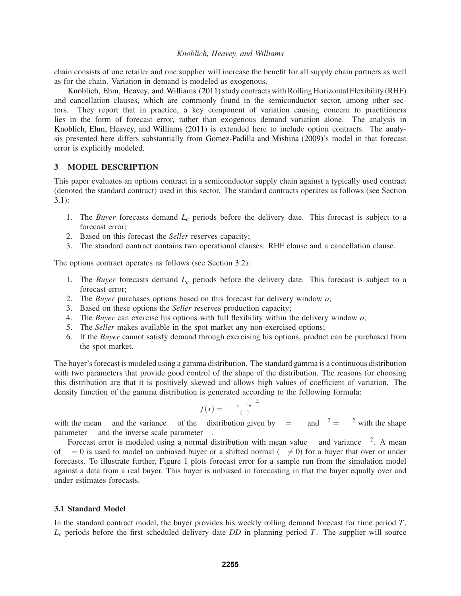chain consists of one retailer and one supplier will increase the benefit for all supply chain partners as well as for the chain. Variation in demand is modeled as exogenous.

Knoblich, Ehm, Heavey, and Williams (2011) study contracts with Rolling Horizontal Flexibility (RHF) and cancellation clauses, which are commonly found in the semiconductor sector, among other sectors. They report that in practice, a key component of variation causing concern to practitioners lies in the form of forecast error, rather than exogenous demand variation alone. The analysis in Knoblich, Ehm, Heavey, and Williams (2011) is extended here to include option contracts. The analysis presented here differs substantially from Gomez-Padilla and Mishina (2009)'s model in that forecast error is explicitly modeled.

### **3 MODEL DESCRIPTION**

This paper evaluates an options contract in a semiconductor supply chain against a typically used contract (denoted the standard contract) used in this sector. The standard contracts operates as follows (see Section 3.1):

- 1. The *Buyer* forecasts demand *L<sup>c</sup>* periods before the delivery date. This forecast is subject to a forecast error;
- 2. Based on this forecast the *Seller* reserves capacity;
- 3. The standard contract contains two operational clauses: RHF clause and a cancellation clause.

The options contract operates as follows (see Section 3.2):

- 1. The *Buyer* forecasts demand *L<sup>c</sup>* periods before the delivery date. This forecast is subject to a forecast error;
- 2. The *Buyer* purchases options based on this forecast for delivery window *o*;
- 3. Based on these options the *Seller* reserves production capacity;
- 4. The *Buyer* can exercise his options with full flexibility within the delivery window *o*;
- 5. The *Seller* makes available in the spot market any non-exercised options;
- 6. If the *Buyer* cannot satisfy demand through exercising his options, product can be purchased from the spot market.

The buyer's forecast is modeled using a gamma distribution. The standard gamma is a continuous distribution with two parameters that provide good control of the shape of the distribution. The reasons for choosing this distribution are that it is positively skewed and allows high values of coefficient of variation. The density function of the gamma distribution is generated according to the following formula:

$$
f(x) = \frac{\beta^{-\alpha} x^{\alpha-1} e^{-\frac{x}{\beta}}}{\Gamma(\alpha)}
$$

with the mean  $\mu$  and the variance  $\sigma$  of the  $\Gamma$  distribution given by  $\mu = \alpha \beta$  and  $\sigma^2 = \alpha \beta^2$  with the shape parameter  $\alpha$  and the inverse scale parameter  $\beta$ .

Forecast error is modeled using a normal distribution with mean value  $\mu$  and variance  $\sigma^2$ . A mean of  $\mu = 0$  is used to model an unbiased buyer or a shifted normal ( $\mu \neq 0$ ) for a buyer that over or under forecasts. To illustrate further, Figure 1 plots forecast error for a sample run from the simulation model against a data from a real buyer. This buyer is unbiased in forecasting in that the buyer equally over and under estimates forecasts.

### **3.1 Standard Model**

In the standard contract model, the buyer provides his weekly rolling demand forecast for time period *T*, *L<sup>c</sup>* periods before the first scheduled delivery date *DD* in planning period *T*. The supplier will source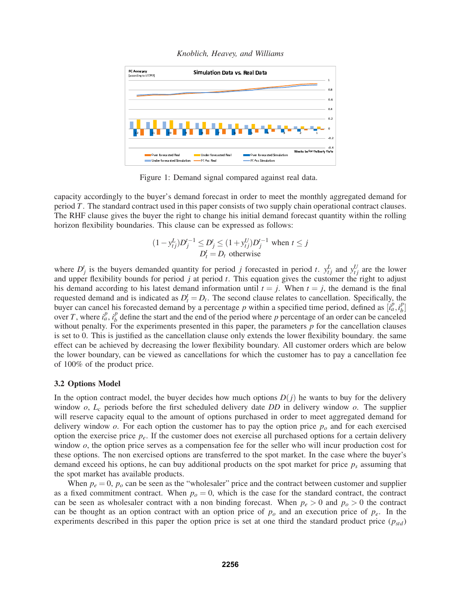



Figure 1: Demand signal compared against real data.

capacity accordingly to the buyer's demand forecast in order to meet the monthly aggregated demand for period *T*. The standard contract used in this paper consists of two supply chain operational contract clauses. The RHF clause gives the buyer the right to change his initial demand forecast quantity within the rolling horizon flexibility boundaries. This clause can be expressed as follows:

$$
(1 - y_{tj}^L)D_j^{t-1} \le D_j^t \le (1 + y_{tj}^U)D_j^{t-1} \text{ when } t \le j
$$
  

$$
D_t^t = D_t \text{ otherwise}
$$

where  $D_j^t$  is the buyers demanded quantity for period *j* forecasted in period *t*.  $y_{tj}^L$  and  $y_{tj}^U$  are the lower and upper flexibility bounds for period *j* at period *t*. This equation gives the customer the right to adjust his demand according to his latest demand information until  $t = j$ . When  $t = j$ , the demand is the final requested demand and is indicated as  $D_t^t = D_t$ . The second clause relates to cancellation. Specifically, the buyer can cancel his forecasted demand by a percentage p within a specified time period, defined as  $[i^p_a, i^p_b]$  $\binom{p}{b}$ over *T*, where  $i^p_a$ ,  $i^p_b$  $\mathbf{p}^p$  define the start and the end of the period where  $p$  percentage of an order can be canceled without penalty. For the experiments presented in this paper, the parameters *p* for the cancellation clauses is set to 0. This is justified as the cancellation clause only extends the lower flexibility boundary. the same effect can be achieved by decreasing the lower flexibility boundary. All customer orders which are below the lower boundary, can be viewed as cancellations for which the customer has to pay a cancellation fee of 100% of the product price.

#### **3.2 Options Model**

In the option contract model, the buyer decides how much options  $D(j)$  he wants to buy for the delivery window *o*,  $L_c$  periods before the first scheduled delivery date *DD* in delivery window *o*. The supplier will reserve capacity equal to the amount of options purchased in order to meet aggregated demand for delivery window *o*. For each option the customer has to pay the option price *p<sup>o</sup>* and for each exercised option the exercise price  $p_e$ . If the customer does not exercise all purchased options for a certain delivery window *o*, the option price serves as a compensation fee for the seller who will incur production cost for these options. The non exercised options are transferred to the spot market. In the case where the buyer's demand exceed his options, he can buy additional products on the spot market for price  $p<sub>s</sub>$  assuming that the spot market has available products.

When  $p_e = 0$ ,  $p_o$  can be seen as the "wholesaler" price and the contract between customer and supplier as a fixed commitment contract. When  $p<sub>o</sub> = 0$ , which is the case for the standard contract, the contract can be seen as wholesaler contract with a non binding forecast. When  $p_e > 0$  and  $p_o > 0$  the contract can be thought as an option contract with an option price of *p<sup>o</sup>* and an execution price of *pe*. In the experiments described in this paper the option price is set at one third the standard product price  $(p_{sd})$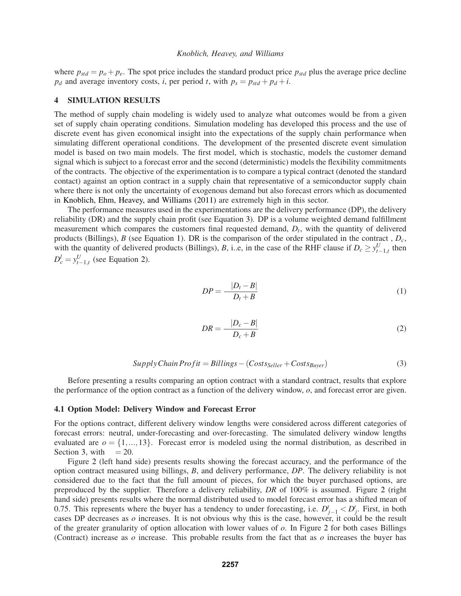where  $p_{std} = p_o + p_e$ . The spot price includes the standard product price  $p_{std}$  plus the average price decline  $p_d$  and average inventory costs, *i*, per period *t*, with  $p_s = p_{std} + p_d + i$ .

## **4 SIMULATION RESULTS**

The method of supply chain modeling is widely used to analyze what outcomes would be from a given set of supply chain operating conditions. Simulation modeling has developed this process and the use of discrete event has given economical insight into the expectations of the supply chain performance when simulating different operational conditions. The development of the presented discrete event simulation model is based on two main models. The first model, which is stochastic, models the customer demand signal which is subject to a forecast error and the second (deterministic) models the flexibility commitments of the contracts. The objective of the experimentation is to compare a typical contract (denoted the standard contact) against an option contract in a supply chain that representative of a semiconductor supply chain where there is not only the uncertainty of exogenous demand but also forecast errors which as documented in Knoblich, Ehm, Heavey, and Williams (2011) are extremely high in this sector.

The performance measures used in the experimentations are the delivery performance (DP), the delivery reliability (DR) and the supply chain profit (see Equation 3). DP is a volume weighted demand fulfillment measurement which compares the customers final requested demand, *D<sup>t</sup>* , with the quantity of delivered products (Billings), *B* (see Equation 1). DR is the comparison of the order stipulated in the contract , *Dc*, with the quantity of delivered products (Billings), *B*, i..e, in the case of the RHF clause if  $D_c \ge y_{t-1,t}^U$  then  $D_c^l = y_{t-1,t}^U$  (see Equation 2).

$$
DP = \frac{\sum |D_t - B|}{\sum D_t + B} \tag{1}
$$

$$
DR = \frac{\sum |D_c - B|}{\sum D_c + B} \tag{2}
$$

$$
Supply Chain Profit = Billings - (Costs_{Seller} + Costs_{Buyer})
$$
\n(3)

Before presenting a results comparing an option contract with a standard contract, results that explore the performance of the option contract as a function of the delivery window, *o*, and forecast error are given.

### **4.1 Option Model: Delivery Window and Forecast Error**

For the options contract, different delivery window lengths were considered across different categories of forecast errors: neutral, under-forecasting and over-forecasting. The simulated delivery window lengths evaluated are  $o = \{1, ..., 13\}$ . Forecast error is modeled using the normal distribution, as described in Section 3, with  $\sigma = 20$ .

Figure 2 (left hand side) presents results showing the forecast accuracy, and the performance of the option contract measured using billings, *B*, and delivery performance, *DP*. The delivery reliability is not considered due to the fact that the full amount of pieces, for which the buyer purchased options, are preproduced by the supplier. Therefore a delivery reliability, *DR* of 100% is assumed. Figure 2 (right hand side) presents results where the normal distributed used to model forecast error has a shifted mean of 0.75. This represents where the buyer has a tendency to under forecasting, i.e.  $D^t_{j-1} < D^t_j$ . First, in both cases DP decreases as *o* increases. It is not obvious why this is the case, however, it could be the result of the greater granularity of option allocation with lower values of *o*. In Figure 2 for both cases Billings (Contract) increase as *o* increase. This probable results from the fact that as *o* increases the buyer has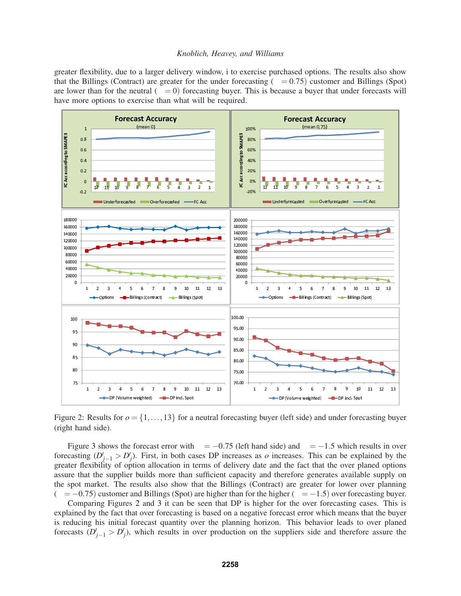greater flexibility, due to a larger delivery window, i to exercise purchased options. The results also show that the Billings (Contract) are greater for the under forecasting ( $\mu = 0.75$ ) customer and Billings (Spot) are lower than for the neutral ( $\mu = 0$ ) forecasting buyer. This is because a buyer that under forecasts will have more options to exercise than what will be required.



Figure 2: Results for  $o = \{1, ..., 13\}$  for a neutral forecasting buyer (left side) and under forecasting buyer (right hand side).

Figure 3 shows the forecast error with  $\mu = -0.75$  (left hand side) and  $\mu = -1.5$  which results in over forecasting  $(D_{i-1}^t > D_i^t)$ . First, in both cases DP increases as *o* increases. This can be explained by the greater flexibility of option allocation in terms of delivery date and the fact that the over planed options assure that the supplier builds more than sufficient capacity and therefore generates available supply on the spot market. The results also show that the Billings (Contract) are greater for lower over planning  $(\mu = -0.75)$  customer and Billings (Spot) are higher than for the higher  $(\mu = -1.5)$  over forecasting buyer.

Comparing Figures 2 and 3 it can be seen that DP is higher for the over forecasting cases. This is explained by the fact that over forecasting is based on a negative forecast error which means that the buyer is reducing his initial forecast quantity over the planning horizon. This behavior leads to over planed forecasts  $(D_{j-1}^t > D_j^t)$ , which results in over production on the suppliers side and therefore assure the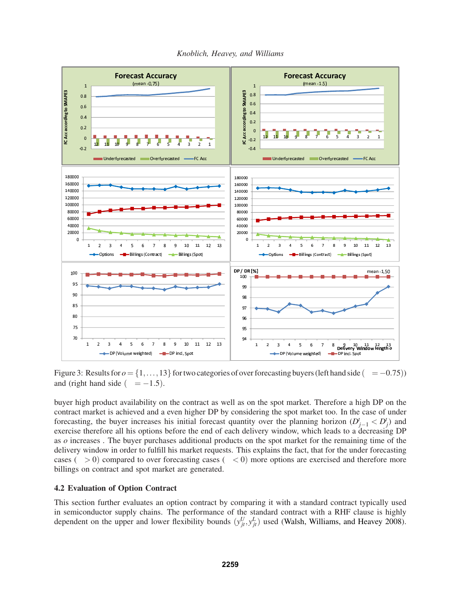

Knoblich, Heavey, and Williams

Figure 3: Results for  $o = \{1, ..., 13\}$  for two categories of over forecasting buyers (left hand side ( $\mu = -0.75$ )) and (right hand side ( $\mu = -1.5$ ).

buyer high product availability on the contract as well as on the spot market. Therefore a high DP on the contract market is achieved and a even higher DP by considering the spot market too. In the case of under forecasting, the buyer increases his initial forecast quantity over the planning horizon  $(D_{i-1}^t < D_i^t)$  and exercise therefore all his options before the end of each delivery window, which leads to a decreasing DP as o increases. The buyer purchases additional products on the spot market for the remaining time of the delivery window in order to fulfill his market requests. This explains the fact, that for the under forecasting cases ( $\mu > 0$ ) compared to over forecasting cases ( $\mu < 0$ ) more options are exercised and therefore more billings on contract and spot market are generated.

# **4.2 Evaluation of Option Contract**

This section further evaluates an option contract by comparing it with a standard contract typically used in semiconductor supply chains. The performance of the standard contract with a RHF clause is highly dependent on the upper and lower flexibility bounds  $(y_{ji}^U, y_{ji}^L)$  used (Walsh, Williams, and Heavey 2008).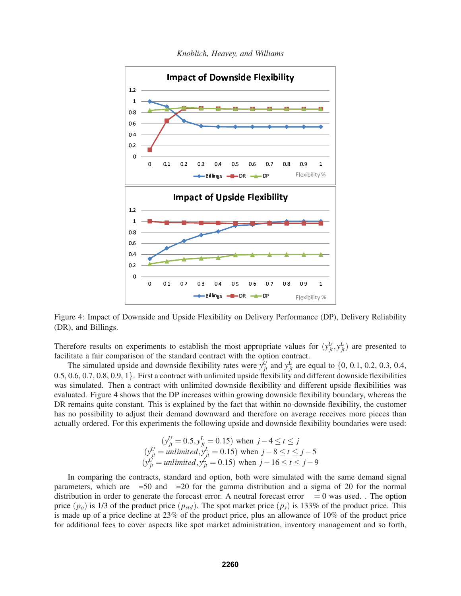

*Knoblich, Heavey, and Williams*

Figure 4: Impact of Downside and Upside Flexibility on Delivery Performance (DP), Delivery Reliability (DR), and Billings.

Therefore results on experiments to establish the most appropriate values for  $(y_{j}^U, y_{j}^L)$  are presented to facilitate a fair comparison of the standard contract with the option contract.

The simulated upside and downside flexibility rates were  $y_{jt}^U$  and  $y_{jt}^L$  are equal to {0, 0.1, 0.2, 0.3, 0.4, 0.5, 0.6, 0.7, 0.8, 0.9, 1}. First a contract with unlimited upside flexibility and different downside flexibilities was simulated. Then a contract with unlimited downside flexibility and different upside flexibilities was evaluated. Figure 4 shows that the DP increases within growing downside flexibility boundary, whereas the DR remains quite constant. This is explained by the fact that within no-downside flexibility, the customer has no possibility to adjust their demand downward and therefore on average receives more pieces than actually ordered. For this experiments the following upside and downside flexibility boundaries were used:

$$
(y_{jt}^U = 0.5, y_{jt}^L = 0.15)
$$
 when  $j - 4 \le t \le j$   
\n $(y_{jt}^U = unlimited, y_{jt}^L = 0.15)$  when  $j - 8 \le t \le j - 5$   
\n $(y_{jt}^U = unlimited, y_{jt}^L = 0.15)$  when  $j - 16 \le t \le j - 9$ 

In comparing the contracts, standard and option, both were simulated with the same demand signal parameters, which are  $\beta$ =50 and  $\beta$ =20 for the gamma distribution and a sigma of 20 for the normal distribution in order to generate the forecast error. A neutral forecast error  $\mu = 0$  was used. . The option price  $(p_o)$  is 1/3 of the product price  $(p_{std})$ . The spot market price  $(p_s)$  is 133% of the product price. This is made up of a price decline at 23% of the product price, plus an allowance of 10% of the product price for additional fees to cover aspects like spot market administration, inventory management and so forth,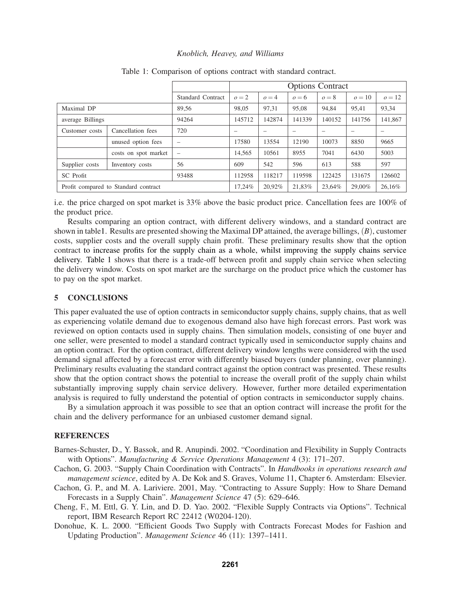|                                      |                      |                          | <b>Options Contract</b>                                                                                                                                                                                                                                                                                                                                                            |            |        |         |             |                          |
|--------------------------------------|----------------------|--------------------------|------------------------------------------------------------------------------------------------------------------------------------------------------------------------------------------------------------------------------------------------------------------------------------------------------------------------------------------------------------------------------------|------------|--------|---------|-------------|--------------------------|
|                                      |                      | <b>Standard Contract</b> | $o=2$                                                                                                                                                                                                                                                                                                                                                                              | $\rho = 4$ | $o=6$  | $o = 8$ | $\rho = 10$ | $o=12$                   |
| Maximal DP                           |                      | 89,56                    | 98,05                                                                                                                                                                                                                                                                                                                                                                              | 97,31      | 95,08  | 94,84   | 95,41       | 93,34                    |
| average Billings                     |                      | 94264                    | 145712                                                                                                                                                                                                                                                                                                                                                                             | 142874     | 141339 | 140152  | 141756      | 141,867                  |
| Customer costs                       | Cancellation fees    | 720                      | $\hspace{1.0cm} \hspace{1.0cm} \hspace{1.0cm} \hspace{1.0cm} \hspace{1.0cm} \hspace{1.0cm} \hspace{1.0cm} \hspace{1.0cm} \hspace{1.0cm} \hspace{1.0cm} \hspace{1.0cm} \hspace{1.0cm} \hspace{1.0cm} \hspace{1.0cm} \hspace{1.0cm} \hspace{1.0cm} \hspace{1.0cm} \hspace{1.0cm} \hspace{1.0cm} \hspace{1.0cm} \hspace{1.0cm} \hspace{1.0cm} \hspace{1.0cm} \hspace{1.0cm} \hspace{$ | -          |        |         |             | $\overline{\phantom{0}}$ |
|                                      | unused option fees   |                          | 17580                                                                                                                                                                                                                                                                                                                                                                              | 13554      | 12190  | 10073   | 8850        | 9665                     |
|                                      | costs on spot market | -                        | 14,565                                                                                                                                                                                                                                                                                                                                                                             | 10561      | 8955   | 7041    | 6430        | 5003                     |
| Supplier costs                       | Inventory costs      | 56                       | 609                                                                                                                                                                                                                                                                                                                                                                                | 542        | 596    | 613     | 588         | 597                      |
| SC Profit                            |                      | 93488                    | 112958                                                                                                                                                                                                                                                                                                                                                                             | 118217     | 119598 | 122425  | 131675      | 126602                   |
| Profit compared to Standard contract |                      | 17.24%                   | 20.92%                                                                                                                                                                                                                                                                                                                                                                             | 21.83%     | 23.64% | 29,00%  | 26,16%      |                          |

Table 1: Comparison of options contract with standard contract.

i.e. the price charged on spot market is 33% above the basic product price. Cancellation fees are 100% of the product price.

Results comparing an option contract, with different delivery windows, and a standard contract are shown in table1. Results are presented showing the Maximal DP attained, the average billings, (*B*), customer costs, supplier costs and the overall supply chain profit. These preliminary results show that the option contract to increase profits for the supply chain as a whole, whilst improving the supply chains service delivery. Table 1 shows that there is a trade-off between profit and supply chain service when selecting the delivery window. Costs on spot market are the surcharge on the product price which the customer has to pay on the spot market.

## **5 CONCLUSIONS**

This paper evaluated the use of option contracts in semiconductor supply chains, supply chains, that as well as experiencing volatile demand due to exogenous demand also have high forecast errors. Past work was reviewed on option contacts used in supply chains. Then simulation models, consisting of one buyer and one seller, were presented to model a standard contract typically used in semiconductor supply chains and an option contract. For the option contract, different delivery window lengths were considered with the used demand signal affected by a forecast error with differently biased buyers (under planning, over planning). Preliminary results evaluating the standard contract against the option contract was presented. These results show that the option contract shows the potential to increase the overall profit of the supply chain whilst substantially improving supply chain service delivery. However, further more detailed experimentation analysis is required to fully understand the potential of option contracts in semiconductor supply chains.

By a simulation approach it was possible to see that an option contract will increase the profit for the chain and the delivery performance for an unbiased customer demand signal.

## **REFERENCES**

- Barnes-Schuster, D., Y. Bassok, and R. Anupindi. 2002. "Coordination and Flexibility in Supply Contracts with Options". *Manufacturing & Service Operations Management* 4 (3): 171–207.
- Cachon, G. 2003. "Supply Chain Coordination with Contracts". In *Handbooks in operations research and management science*, edited by A. De Kok and S. Graves, Volume 11, Chapter 6. Amsterdam: Elsevier.
- Cachon, G. P., and M. A. Lariviere. 2001, May. "Contracting to Assure Supply: How to Share Demand Forecasts in a Supply Chain". *Management Science* 47 (5): 629–646.
- Cheng, F., M. Ettl, G. Y. Lin, and D. D. Yao. 2002. "Flexible Supply Contracts via Options". Technical report, IBM Research Report RC 22412 (W0204-120).
- Donohue, K. L. 2000. "Efficient Goods Two Supply with Contracts Forecast Modes for Fashion and Updating Production". *Management Science* 46 (11): 1397–1411.